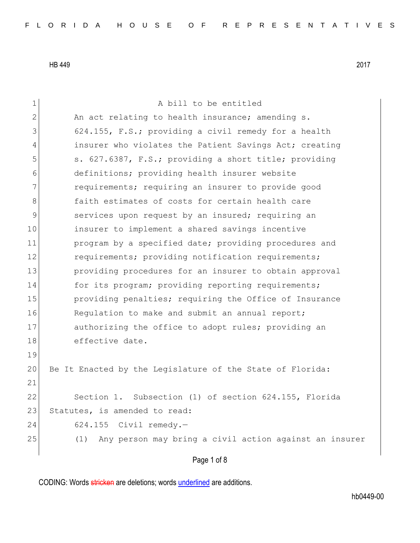1 A bill to be entitled 2 An act relating to health insurance; amending s. 3 624.155, F.S.; providing a civil remedy for a health 4 insurer who violates the Patient Savings Act; creating 5 5 5. 627.6387, F.S.; providing a short title; providing 6 definitions; providing health insurer website 7 **requirements;** requiring an insurer to provide good 8 **faith estimates of costs for certain health care** 9 services upon request by an insured; requiring an 10 insurer to implement a shared savings incentive 11 program by a specified date; providing procedures and 12 requirements; providing notification requirements; 13 **providing procedures for an insurer to obtain approval** 14 for its program; providing reporting requirements; 15 providing penalties; requiring the Office of Insurance 16 Regulation to make and submit an annual report; 17 authorizing the office to adopt rules; providing an 18 effective date. 19 20 Be It Enacted by the Legislature of the State of Florida: 21 22 Section 1. Subsection (1) of section 624.155, Florida 23 Statutes, is amended to read: 24 624.155 Civil remedy.— 25 (1) Any person may bring a civil action against an insurer

Page 1 of 8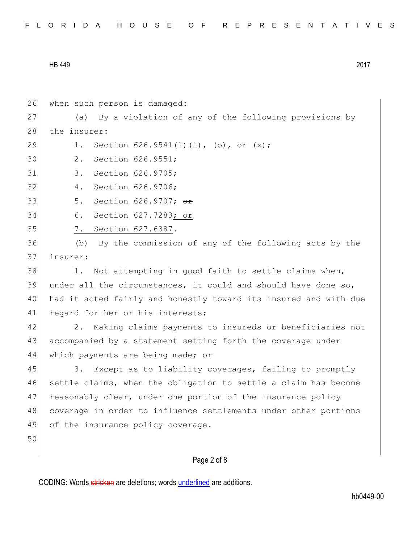| FLORIDA HOUSE OF REPRESENTATIVES |  |
|----------------------------------|--|
|----------------------------------|--|

Page 2 of 8 26 when such person is damaged: 27 (a) By a violation of any of the following provisions by 28 the insurer: 29 1. Section 626.9541(1)(i), (o), or (x); 30 2. Section 626.9551; 31 3. Section 626.9705; 32 4. Section 626.9706; 33 5. Section 626.9707; or 34 6. Section 627.7283; or 35 7. Section 627.6387. 36 (b) By the commission of any of the following acts by the 37 insurer: 38 1. Not attempting in good faith to settle claims when, 39 under all the circumstances, it could and should have done so, 40 had it acted fairly and honestly toward its insured and with due 41 regard for her or his interests; 42 2. Making claims payments to insureds or beneficiaries not 43 accompanied by a statement setting forth the coverage under 44 which payments are being made; or 45 3. Except as to liability coverages, failing to promptly 46 settle claims, when the obligation to settle a claim has become 47 reasonably clear, under one portion of the insurance policy 48 coverage in order to influence settlements under other portions 49 of the insurance policy coverage. 50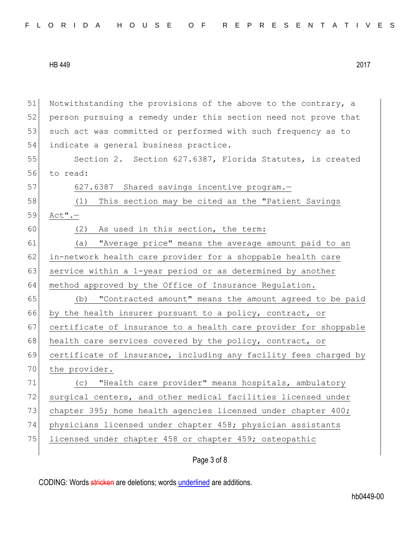51 Notwithstanding the provisions of the above to the contrary, a 52 person pursuing a remedy under this section need not prove that 53 such act was committed or performed with such frequency as to 54 indicate a general business practice. 55 Section 2. Section 627.6387, Florida Statutes, is created 56 to read: 57 627.6387 Shared savings incentive program. 58 (1) This section may be cited as the "Patient Savings 59 Act".— 60 (2) As used in this section, the term: 61 (a) "Average price" means the average amount paid to an 62 in-network health care provider for a shoppable health care 63 service within a 1-year period or as determined by another 64 method approved by the Office of Insurance Regulation. 65 (b) "Contracted amount" means the amount agreed to be paid 66 by the health insurer pursuant to a policy, contract, or 67 certificate of insurance to a health care provider for shoppable 68 health care services covered by the policy, contract, or 69 certificate of insurance, including any facility fees charged by 70 the provider. 71 (c) "Health care provider" means hospitals, ambulatory 72 surgical centers, and other medical facilities licensed under 73 chapter 395; home health agencies licensed under chapter 400; 74 physicians licensed under chapter 458; physician assistants 75 licensed under chapter 458 or chapter 459; osteopathic

Page 3 of 8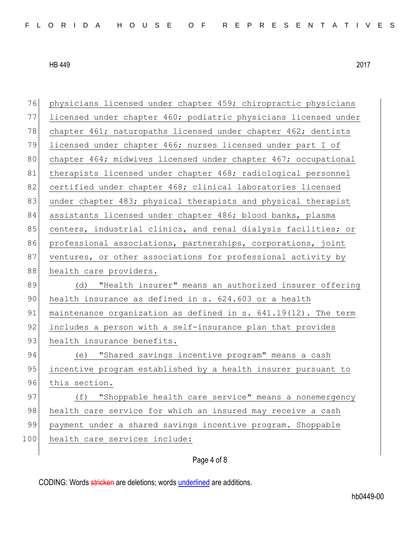| 76  | physicians licensed under chapter 459; chiropractic physicians  |
|-----|-----------------------------------------------------------------|
| 77  | licensed under chapter 460; podiatric physicians licensed under |
| 78  | chapter 461; naturopaths licensed under chapter 462; dentists   |
| 79  | licensed under chapter 466; nurses licensed under part I of     |
| 80  | chapter 464; midwives licensed under chapter 467; occupational  |
| 81  | therapists licensed under chapter 468; radiological personnel   |
| 82  | certified under chapter 468; clinical laboratories licensed     |
| 83  | under chapter 483; physical therapists and physical therapist   |
| 84  | assistants licensed under chapter 486; blood banks, plasma      |
| 85  | centers, industrial clinics, and renal dialysis facilities; or  |
| 86  | professional associations, partnerships, corporations, joint    |
| 87  | ventures, or other associations for professional activity by    |
| 88  | health care providers.                                          |
| 89  | (d) "Health insurer" means an authorized insurer offering       |
|     |                                                                 |
| 90  | health insurance as defined in s. 624.603 or a health           |
| 91  | maintenance organization as defined in s. 641.19(12). The term  |
| 92  | includes a person with a self-insurance plan that provides      |
| 93  | health insurance benefits.                                      |
| 94  | "Shared savings incentive program" means a cash<br>(e)          |
| 95  | incentive program established by a health insurer pursuant to   |
| 96  | this section.                                                   |
| 97  | "Shoppable health care service" means a nonemergency<br>(f)     |
| 98  | health care service for which an insured may receive a cash     |
| 99  | payment under a shared savings incentive program. Shoppable     |
| 100 | health care services include:                                   |

## Page 4 of 8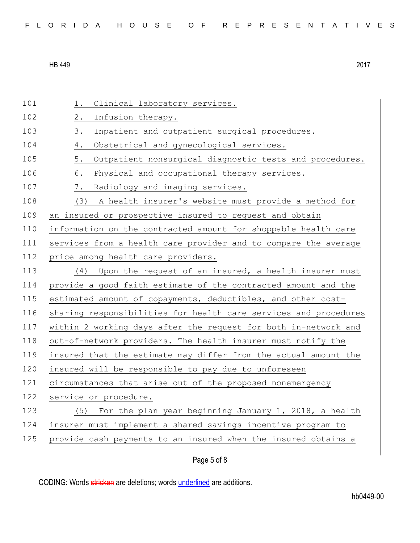| FLORIDA HOUSE OF REPRESENTATIVES |  |
|----------------------------------|--|
|----------------------------------|--|

| 101 | Clinical laboratory services.<br>1.                              |
|-----|------------------------------------------------------------------|
| 102 | $2$ .<br>Infusion therapy.                                       |
| 103 | 3.<br>Inpatient and outpatient surgical procedures.              |
| 104 | 4.<br>Obstetrical and gynecological services.                    |
| 105 | 5.<br>Outpatient nonsurgical diagnostic tests and procedures.    |
| 106 | 6.<br>Physical and occupational therapy services.                |
| 107 | 7.<br>Radiology and imaging services.                            |
| 108 | A health insurer's website must provide a method for<br>(3)      |
| 109 | an insured or prospective insured to request and obtain          |
| 110 | information on the contracted amount for shoppable health care   |
| 111 | services from a health care provider and to compare the average  |
| 112 | price among health care providers.                               |
| 113 | Upon the request of an insured, a health insurer must<br>(4)     |
| 114 | provide a good faith estimate of the contracted amount and the   |
| 115 | estimated amount of copayments, deductibles, and other cost-     |
| 116 | sharing responsibilities for health care services and procedures |
| 117 | within 2 working days after the request for both in-network and  |
| 118 | out-of-network providers. The health insurer must notify the     |
| 119 | insured that the estimate may differ from the actual amount the  |
| 120 | insured will be responsible to pay due to unforeseen             |
| 121 | circumstances that arise out of the proposed nonemergency        |
| 122 | service or procedure.                                            |
| 123 | For the plan year beginning January 1, 2018, a health<br>(5)     |
| 124 | insurer must implement a shared savings incentive program to     |
| 125 | provide cash payments to an insured when the insured obtains a   |
|     |                                                                  |

Page 5 of 8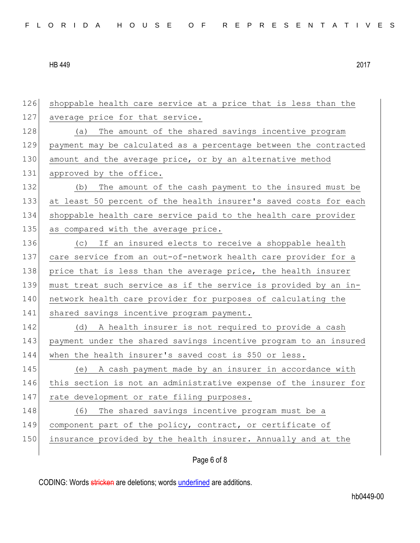| 126 | shoppable health care service at a price that is less than the   |
|-----|------------------------------------------------------------------|
| 127 | average price for that service.                                  |
| 128 | The amount of the shared savings incentive program<br>(a)        |
| 129 | payment may be calculated as a percentage between the contracted |
| 130 | amount and the average price, or by an alternative method        |
| 131 | approved by the office.                                          |
| 132 | The amount of the cash payment to the insured must be<br>(b)     |
| 133 | at least 50 percent of the health insurer's saved costs for each |
| 134 | shoppable health care service paid to the health care provider   |
| 135 | as compared with the average price.                              |
| 136 | If an insured elects to receive a shoppable health<br>(C)        |
| 137 | care service from an out-of-network health care provider for a   |
| 138 | price that is less than the average price, the health insurer    |
| 139 | must treat such service as if the service is provided by an in-  |
| 140 | network health care provider for purposes of calculating the     |
| 141 | shared savings incentive program payment.                        |
| 142 | A health insurer is not required to provide a cash<br>(d)        |
| 143 | payment under the shared savings incentive program to an insured |
| 144 | when the health insurer's saved cost is \$50 or less.            |
| 145 | (e) A cash payment made by an insurer in accordance with         |
| 146 | this section is not an administrative expense of the insurer for |
| 147 | rate development or rate filing purposes.                        |
| 148 | (6) The shared savings incentive program must be a               |
| 149 | component part of the policy, contract, or certificate of        |
| 150 | insurance provided by the health insurer. Annually and at the    |
|     |                                                                  |

Page 6 of 8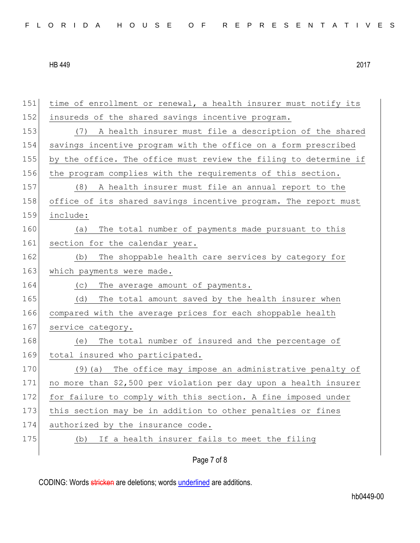| FLORIDA HOUSE OF REPRESENTATIVES |  |
|----------------------------------|--|
|----------------------------------|--|

| 151 | time of enrollment or renewal, a health insurer must notify its  |
|-----|------------------------------------------------------------------|
| 152 | insureds of the shared savings incentive program.                |
| 153 | (7) A health insurer must file a description of the shared       |
| 154 | savings incentive program with the office on a form prescribed   |
| 155 | by the office. The office must review the filing to determine if |
| 156 | the program complies with the requirements of this section.      |
| 157 | A health insurer must file an annual report to the<br>(8)        |
| 158 | office of its shared savings incentive program. The report must  |
| 159 | include:                                                         |
| 160 | The total number of payments made pursuant to this<br>(a)        |
| 161 | section for the calendar year.                                   |
| 162 | The shoppable health care services by category for<br>(b)        |
| 163 | which payments were made.                                        |
| 164 | The average amount of payments.<br>(C)                           |
| 165 | The total amount saved by the health insurer when<br>(d)         |
| 166 | compared with the average prices for each shoppable health       |
| 167 | service category.                                                |
| 168 | The total number of insured and the percentage of<br>(e)         |
| 169 | total insured who participated.                                  |
| 170 | (9) (a) The office may impose an administrative penalty of       |
| 171 | no more than \$2,500 per violation per day upon a health insurer |
| 172 | for failure to comply with this section. A fine imposed under    |
| 173 | this section may be in addition to other penalties or fines      |
| 174 | authorized by the insurance code.                                |
| 175 | If a health insurer fails to meet the filing<br>(d)              |
|     |                                                                  |

Page 7 of 8